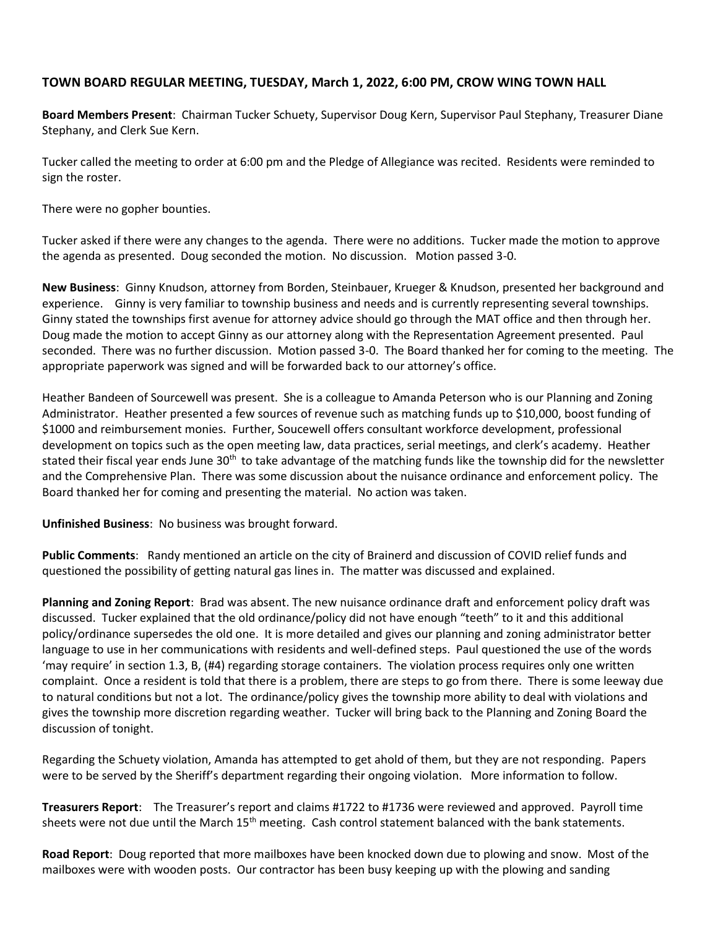## **TOWN BOARD REGULAR MEETING, TUESDAY, March 1, 2022, 6:00 PM, CROW WING TOWN HALL**

**Board Members Present**: Chairman Tucker Schuety, Supervisor Doug Kern, Supervisor Paul Stephany, Treasurer Diane Stephany, and Clerk Sue Kern.

Tucker called the meeting to order at 6:00 pm and the Pledge of Allegiance was recited. Residents were reminded to sign the roster.

There were no gopher bounties.

Tucker asked if there were any changes to the agenda. There were no additions. Tucker made the motion to approve the agenda as presented. Doug seconded the motion. No discussion. Motion passed 3-0.

**New Business**: Ginny Knudson, attorney from Borden, Steinbauer, Krueger & Knudson, presented her background and experience. Ginny is very familiar to township business and needs and is currently representing several townships. Ginny stated the townships first avenue for attorney advice should go through the MAT office and then through her. Doug made the motion to accept Ginny as our attorney along with the Representation Agreement presented. Paul seconded. There was no further discussion. Motion passed 3-0. The Board thanked her for coming to the meeting. The appropriate paperwork was signed and will be forwarded back to our attorney's office.

Heather Bandeen of Sourcewell was present. She is a colleague to Amanda Peterson who is our Planning and Zoning Administrator. Heather presented a few sources of revenue such as matching funds up to \$10,000, boost funding of \$1000 and reimbursement monies. Further, Soucewell offers consultant workforce development, professional development on topics such as the open meeting law, data practices, serial meetings, and clerk's academy. Heather stated their fiscal year ends June  $30<sup>th</sup>$  to take advantage of the matching funds like the township did for the newsletter and the Comprehensive Plan. There was some discussion about the nuisance ordinance and enforcement policy. The Board thanked her for coming and presenting the material. No action was taken.

**Unfinished Business**: No business was brought forward.

**Public Comments**: Randy mentioned an article on the city of Brainerd and discussion of COVID relief funds and questioned the possibility of getting natural gas lines in. The matter was discussed and explained.

**Planning and Zoning Report**: Brad was absent. The new nuisance ordinance draft and enforcement policy draft was discussed. Tucker explained that the old ordinance/policy did not have enough "teeth" to it and this additional policy/ordinance supersedes the old one. It is more detailed and gives our planning and zoning administrator better language to use in her communications with residents and well-defined steps. Paul questioned the use of the words 'may require' in section 1.3, B, (#4) regarding storage containers. The violation process requires only one written complaint. Once a resident is told that there is a problem, there are steps to go from there. There is some leeway due to natural conditions but not a lot. The ordinance/policy gives the township more ability to deal with violations and gives the township more discretion regarding weather. Tucker will bring back to the Planning and Zoning Board the discussion of tonight.

Regarding the Schuety violation, Amanda has attempted to get ahold of them, but they are not responding. Papers were to be served by the Sheriff's department regarding their ongoing violation. More information to follow.

**Treasurers Report**: The Treasurer's report and claims #1722 to #1736 were reviewed and approved. Payroll time sheets were not due until the March 15<sup>th</sup> meeting. Cash control statement balanced with the bank statements.

**Road Report**: Doug reported that more mailboxes have been knocked down due to plowing and snow. Most of the mailboxes were with wooden posts. Our contractor has been busy keeping up with the plowing and sanding